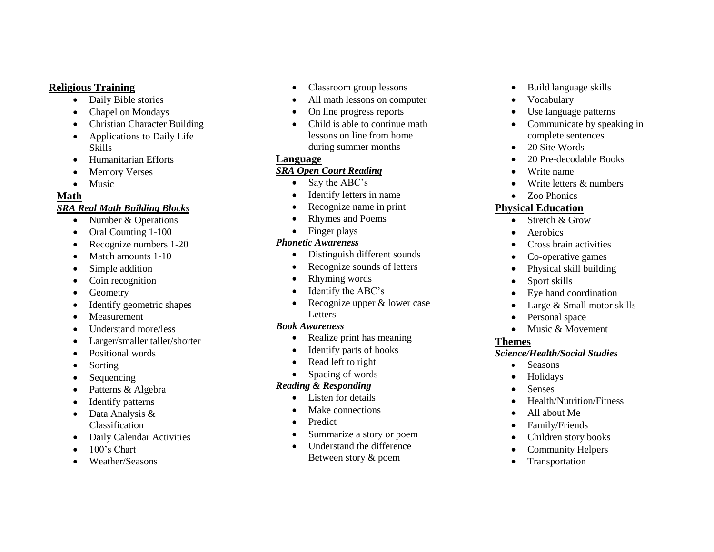#### **Religious Training**

- Daily Bible stories
- Chapel on Mondays
- Christian Character Building
- Applications to Daily Life Skills
- Humanitarian Efforts
- Memory Verses
- Music

#### **Math**

#### *SRA Real Math Building Blocks*

- Number & Operations
- Oral Counting 1-100
- Recognize numbers 1-20
- Match amounts 1-10
- Simple addition
- Coin recognition
- Geometry
- Identify geometric shapes
- Measurement
- Understand more/less
- Larger/smaller taller/shorter
- Positional words
- Sorting
- Sequencing
- Patterns & Algebra
- Identify patterns
- Data Analysis & Classification
- Daily Calendar Activities
- 100's Chart
- Weather/Seasons
- Classroom group lessons
- All math lessons on computer
- On line progress reports
- Child is able to continue math lessons on line from home during summer months

#### **Language**

#### *SRA Open Court Reading*

- Say the ABC's
- Identify letters in name
- Recognize name in print
- Rhymes and Poems
- Finger plays

#### *Phonetic Awareness*

- Distinguish different sounds
- Recognize sounds of letters
- Rhyming words
- Identify the ABC's
- Recognize upper & lower case Letters

#### *Book Awareness*

- Realize print has meaning
- Identify parts of books
- Read left to right
- Spacing of words

#### *Reading & Responding*

- Listen for details
- Make connections
- Predict
- Summarize a story or poem
- Understand the difference Between story & poem
- Build language skills
- Vocabulary
- Use language patterns
- Communicate by speaking in complete sentences
- 20 Site Words
- 20 Pre-decodable Books
- Write name
- Write letters & numbers
- Zoo Phonics

### **Physical Education**

- $\bullet$  Stretch & Grow
- Aerobics
- Cross brain activities
- Co-operative games
- Physical skill building
- Sport skills
- Eve hand coordination
- Large & Small motor skills
- Personal space
- $\bullet$  Music & Movement

## **Themes**

- *Science/Health/Social Studies*
	- Seasons
	- Holidays
	- Senses
	- Health/Nutrition/Fitness
	- All about Me
	- Family/Friends
	- Children story books
	- Community Helpers
	- Transportation